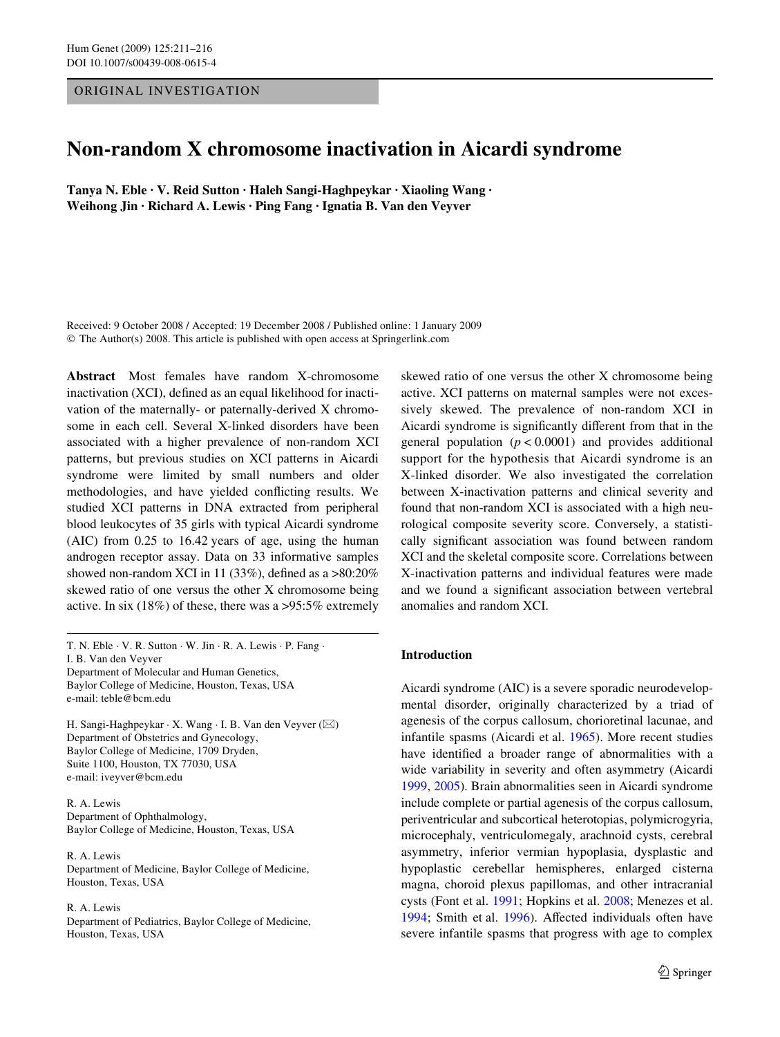## ORIGINAL INVESTIGATION

# **Non-random X chromosome inactivation in Aicardi syndrome**

**Tanya N. Eble · V. Reid Sutton · Haleh Sangi-Haghpeykar · Xiaoling Wang · Weihong Jin · Richard A. Lewis · Ping Fang · Ignatia B. Van den Veyver** 

Received: 9 October 2008 / Accepted: 19 December 2008 / Published online: 1 January 2009 © The Author(s) 2008. This article is published with open access at Springerlink.com

**Abstract** Most females have random X-chromosome  $inactivation(XCI)$ , defined as an equal likelihood for inactivation of the maternally- or paternally-derived X chromosome in each cell. Several X-linked disorders have been associated with a higher prevalence of non-random XCI patterns, but previous studies on XCI patterns in Aicardi syndrome were limited by small numbers and older methodologies, and have yielded conflicting results. We studied XCI patterns in DNA extracted from peripheral blood leukocytes of 35 girls with typical Aicardi syndrome (AIC) from 0.25 to 16.42 years of age, using the human androgen receptor assay. Data on 33 informative samples showed non-random XCI in 11 (33%), defined as a  $>80:20\%$ skewed ratio of one versus the other X chromosome being active. In six (18%) of these, there was a >95:5% extremely

T. N. Eble · V. R. Sutton · W. Jin · R. A. Lewis · P. Fang · I. B. Van den Veyver Department of Molecular and Human Genetics, Baylor College of Medicine, Houston, Texas, USA e-mail: teble@bcm.edu

H. Sangi-Haghpeykar  $\cdot$  X. Wang  $\cdot$  I. B. Van den Veyver ( $\boxtimes$ ) Department of Obstetrics and Gynecology, Baylor College of Medicine, 1709 Dryden, Suite 1100, Houston, TX 77030, USA e-mail: iveyver@bcm.edu

R. A. Lewis Department of Ophthalmology, Baylor College of Medicine, Houston, Texas, USA

R. A. Lewis Department of Medicine, Baylor College of Medicine, Houston, Texas, USA

R. A. Lewis

Department of Pediatrics, Baylor College of Medicine, Houston, Texas, USA

skewed ratio of one versus the other X chromosome being active. XCI patterns on maternal samples were not excessively skewed. The prevalence of non-random XCI in Aicardi syndrome is significantly different from that in the general population  $(p < 0.0001)$  and provides additional support for the hypothesis that Aicardi syndrome is an X-linked disorder. We also investigated the correlation between X-inactivation patterns and clinical severity and found that non-random XCI is associated with a high neurological composite severity score. Conversely, a statistically significant association was found between random XCI and the skeletal composite score. Correlations between X-inactivation patterns and individual features were made and we found a significant association between vertebral anomalies and random XCI.

## **Introduction**

Aicardi syndrome (AIC) is a severe sporadic neurodevelopmental disorder, originally characterized by a triad of agenesis of the corpus callosum, chorioretinal lacunae, and infantile spasms (Aicardi et al. [1965\)](#page-5-0). More recent studies have identified a broader range of abnormalities with a wide variability in severity and often asymmetry (Aicardi [1999](#page-5-1), [2005](#page-5-2)). Brain abnormalities seen in Aicardi syndrome include complete or partial agenesis of the corpus callosum, periventricular and subcortical heterotopias, polymicrogyria, microcephaly, ventriculomegaly, arachnoid cysts, cerebral asymmetry, inferior vermian hypoplasia, dysplastic and hypoplastic cerebellar hemispheres, enlarged cisterna magna, choroid plexus papillomas, and other intracranial cysts (Font et al. [1991;](#page-5-3) Hopkins et al. [2008;](#page-5-4) Menezes et al. [1994](#page-5-5); Smith et al. [1996\)](#page-5-6). Affected individuals often have severe infantile spasms that progress with age to complex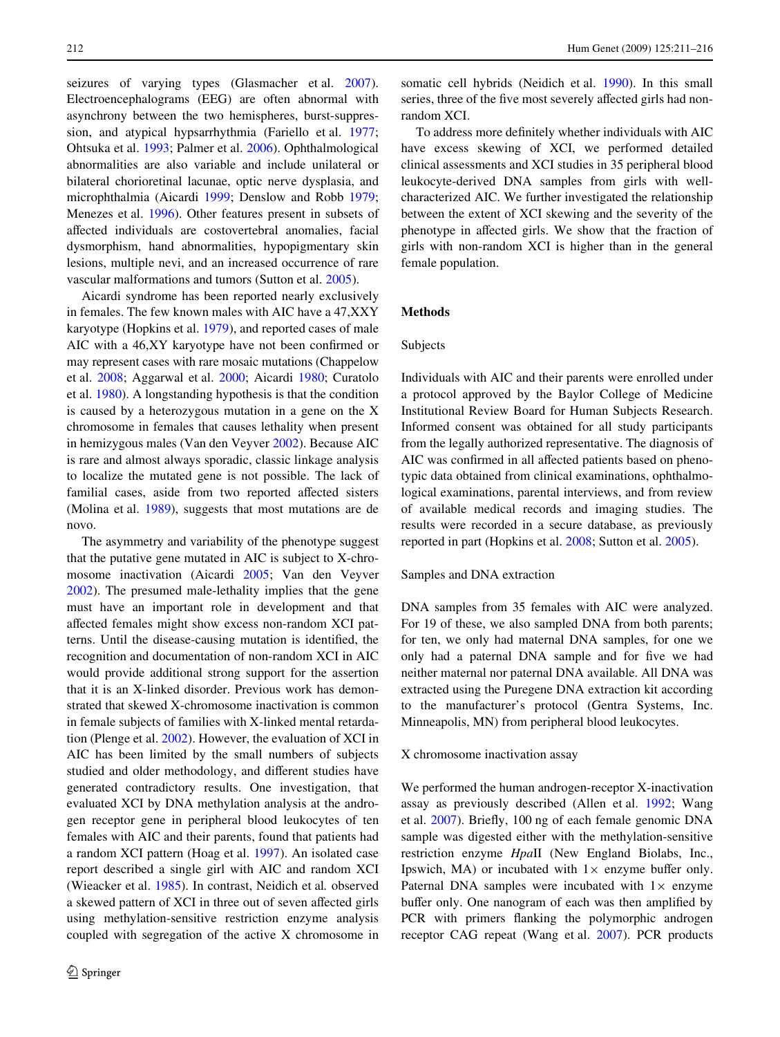seizures of varying types (Glasmacher et al. [2007](#page-5-7)). Electroencephalograms (EEG) are often abnormal with asynchrony between the two hemispheres, burst-suppression, and atypical hypsarrhythmia (Fariello et al. [1977](#page-5-8); Ohtsuka et al. [1993](#page-5-9); Palmer et al. [2006](#page-5-10)). Ophthalmological abnormalities are also variable and include unilateral or bilateral chorioretinal lacunae, optic nerve dysplasia, and microphthalmia (Aicardi [1999;](#page-5-1) Denslow and Robb [1979](#page-5-11); Menezes et al. [1996](#page-5-12)). Other features present in subsets of affected individuals are costovertebral anomalies, facial dysmorphism, hand abnormalities, hypopigmentary skin lesions, multiple nevi, and an increased occurrence of rare vascular malformations and tumors (Sutton et al. [2005\)](#page-5-13).

Aicardi syndrome has been reported nearly exclusively in females. The few known males with AIC have a 47,XXY karyotype (Hopkins et al. [1979\)](#page-5-14), and reported cases of male AIC with a  $46, XY$  karyotype have not been confirmed or may represent cases with rare mosaic mutations (Chappelow et al. [2008](#page-5-15); Aggarwal et al. [2000](#page-4-0); Aicardi [1980;](#page-5-16) Curatolo et al. [1980\)](#page-5-17). A longstanding hypothesis is that the condition is caused by a heterozygous mutation in a gene on the X chromosome in females that causes lethality when present in hemizygous males (Van den Veyver [2002](#page-5-18)). Because AIC is rare and almost always sporadic, classic linkage analysis to localize the mutated gene is not possible. The lack of familial cases, aside from two reported affected sisters (Molina et al. [1989](#page-5-19)), suggests that most mutations are de novo.

The asymmetry and variability of the phenotype suggest that the putative gene mutated in AIC is subject to X-chromosome inactivation (Aicardi [2005;](#page-5-2) Van den Veyver [2002](#page-5-18)). The presumed male-lethality implies that the gene must have an important role in development and that affected females might show excess non-random XCI patterns. Until the disease-causing mutation is identified, the recognition and documentation of non-random XCI in AIC would provide additional strong support for the assertion that it is an X-linked disorder. Previous work has demonstrated that skewed X-chromosome inactivation is common in female subjects of families with X-linked mental retardation (Plenge et al. [2002](#page-5-20)). However, the evaluation of XCI in AIC has been limited by the small numbers of subjects studied and older methodology, and different studies have generated contradictory results. One investigation, that evaluated XCI by DNA methylation analysis at the androgen receptor gene in peripheral blood leukocytes of ten females with AIC and their parents, found that patients had a random XCI pattern (Hoag et al. [1997\)](#page-5-21). An isolated case report described a single girl with AIC and random XCI (Wieacker et al. [1985](#page-5-22)). In contrast, Neidich et al*.* observed a skewed pattern of XCI in three out of seven affected girls using methylation-sensitive restriction enzyme analysis coupled with segregation of the active X chromosome in somatic cell hybrids (Neidich et al. [1990\)](#page-5-23). In this small series, three of the five most severely affected girls had nonrandom XCI.

To address more definitely whether individuals with AIC have excess skewing of XCI, we performed detailed clinical assessments and XCI studies in 35 peripheral blood leukocyte-derived DNA samples from girls with wellcharacterized AIC. We further investigated the relationship between the extent of XCI skewing and the severity of the phenotype in affected girls. We show that the fraction of girls with non-random XCI is higher than in the general female population.

# **Methods**

#### **Subjects**

Individuals with AIC and their parents were enrolled under a protocol approved by the Baylor College of Medicine Institutional Review Board for Human Subjects Research. Informed consent was obtained for all study participants from the legally authorized representative. The diagnosis of AIC was confirmed in all affected patients based on phenotypic data obtained from clinical examinations, ophthalmological examinations, parental interviews, and from review of available medical records and imaging studies. The results were recorded in a secure database, as previously reported in part (Hopkins et al. [2008;](#page-5-4) Sutton et al. [2005\)](#page-5-13).

#### Samples and DNA extraction

DNA samples from 35 females with AIC were analyzed. For 19 of these, we also sampled DNA from both parents; for ten, we only had maternal DNA samples, for one we only had a paternal DNA sample and for five we had neither maternal nor paternal DNA available. All DNA was extracted using the Puregene DNA extraction kit according to the manufacturer's protocol (Gentra Systems, Inc. Minneapolis, MN) from peripheral blood leukocytes.

#### X chromosome inactivation assay

We performed the human androgen-receptor X-inactivation assay as previously described (Allen et al. [1992;](#page-5-24) Wang et al. [2007\)](#page-5-25). Briefly, 100 ng of each female genomic DNA sample was digested either with the methylation-sensitive restriction enzyme *Hpa*II (New England Biolabs, Inc., Ipswich, MA) or incubated with  $1\times$  enzyme buffer only. Paternal DNA samples were incubated with  $1\times$  enzyme buffer only. One nanogram of each was then amplified by PCR with primers flanking the polymorphic androgen receptor CAG repeat (Wang et al. [2007](#page-5-25)). PCR products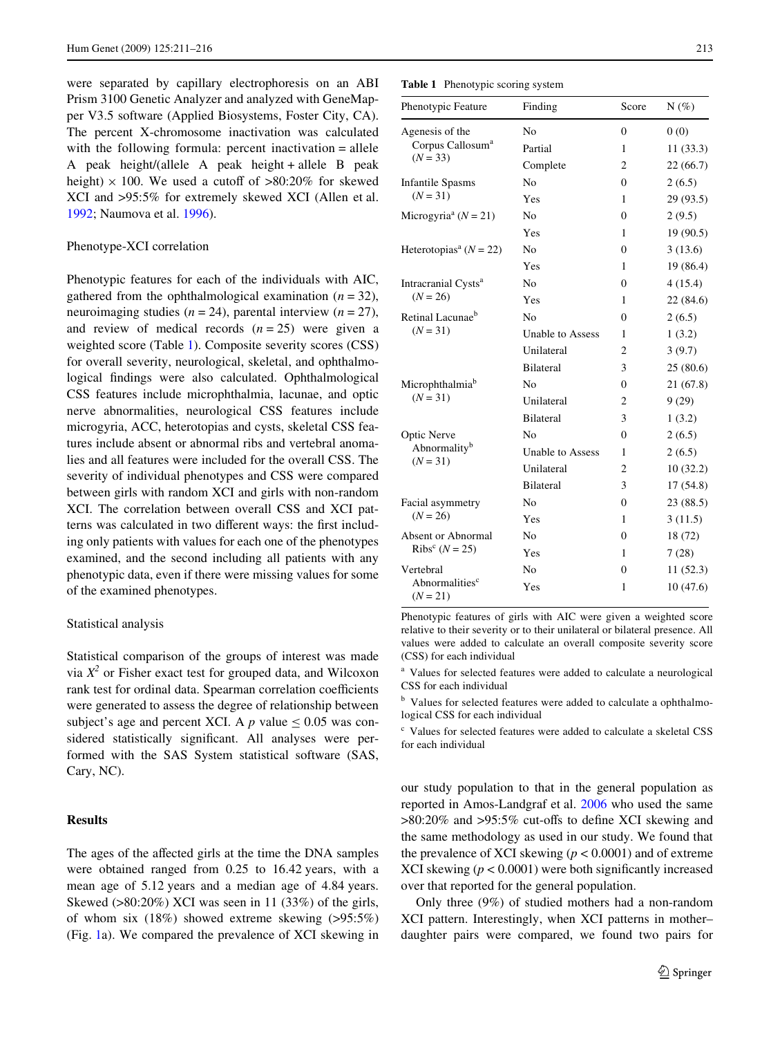were separated by capillary electrophoresis on an ABI Prism 3100 Genetic Analyzer and analyzed with GeneMapper V3.5 software (Applied Biosystems, Foster City, CA). The percent X-chromosome inactivation was calculated with the following formula: percent inactivation = allele A peak height/(allele A peak height + allele B peak height)  $\times$  100. We used a cutoff of  $>80:20\%$  for skewed XCI and >95:5% for extremely skewed XCI (Allen et al. [1992](#page-5-24); Naumova et al. [1996\)](#page-5-26).

## Phenotype-XCI correlation

Phenotypic features for each of the individuals with AIC, gathered from the ophthalmological examination (*n* = 32), neuroimaging studies  $(n = 24)$ , parental interview  $(n = 27)$ , and review of medical records  $(n = 25)$  were given a weighted score (Table [1\)](#page-2-0). Composite severity scores (CSS) for overall severity, neurological, skeletal, and ophthalmological findings were also calculated. Ophthalmological CSS features include microphthalmia, lacunae, and optic nerve abnormalities, neurological CSS features include microgyria, ACC, heterotopias and cysts, skeletal CSS features include absent or abnormal ribs and vertebral anomalies and all features were included for the overall CSS. The severity of individual phenotypes and CSS were compared between girls with random XCI and girls with non-random XCI. The correlation between overall CSS and XCI patterns was calculated in two different ways: the first including only patients with values for each one of the phenotypes examined, and the second including all patients with any phenotypic data, even if there were missing values for some of the examined phenotypes.

#### Statistical analysis

Statistical comparison of the groups of interest was made via *X2* or Fisher exact test for grouped data, and Wilcoxon rank test for ordinal data. Spearman correlation coefficients were generated to assess the degree of relationship between subject's age and percent XCI. A *p* value  $\leq 0.05$  was considered statistically significant. All analyses were performed with the SAS System statistical software (SAS, Cary, NC).

## **Results**

The ages of the affected girls at the time the DNA samples were obtained ranged from 0.25 to 16.42 years, with a mean age of 5.12 years and a median age of 4.84 years. Skewed  $(>80:20\%)$  XCI was seen in 11  $(33\%)$  of the girls, of whom six  $(18%)$  showed extreme skewing  $(>95:5%)$ (Fig. [1a](#page-3-0)). We compared the prevalence of XCI skewing in

<span id="page-2-0"></span>**Table 1** Phenotypic scoring system

| Phenotypic Feature                         | Finding                 | Score          | $N(\%)$   |
|--------------------------------------------|-------------------------|----------------|-----------|
| Agenesis of the                            | N <sub>0</sub>          | $\theta$       | 0(0)      |
| Corpus Callosum <sup>a</sup>               | Partial                 | 1              | 11(33.3)  |
| $(N = 33)$                                 | Complete                | 2              | 22(66.7)  |
| <b>Infantile Spasms</b>                    | N <sub>o</sub>          | $\overline{0}$ | 2(6.5)    |
| $(N = 31)$                                 | Yes<br>1                |                | 29 (93.5) |
| Microgyria <sup>a</sup> ( $N = 21$ )       | N <sub>o</sub>          | $\overline{0}$ | 2(9.5)    |
|                                            | Yes                     | 1              | 19 (90.5) |
| Heterotopias <sup>a</sup> ( $N = 22$ )     | N <sub>0</sub>          | $\overline{0}$ | 3(13.6)   |
|                                            | Yes                     | 1              | 19 (86.4) |
| Intracranial Cysts <sup>a</sup>            | N <sub>0</sub>          | $\overline{0}$ | 4(15.4)   |
| $(N = 26)$                                 | Yes                     | 1              | 22 (84.6) |
| Retinal Lacunae <sup>b</sup><br>$(N = 31)$ | No                      | $\overline{0}$ | 2(6.5)    |
|                                            | <b>Unable to Assess</b> | 1              | 1(3.2)    |
|                                            | Unilateral              | 2              | 3(9.7)    |
|                                            | <b>Bilateral</b>        | 3              | 25(80.6)  |
| Microphthalmia <sup>b</sup><br>$(N = 31)$  | N <sub>0</sub>          | $\overline{0}$ | 21 (67.8) |
|                                            | Unilateral              | 2              | 9(29)     |
|                                            | <b>Bilateral</b>        | 3              | 1(3.2)    |
| Optic Nerve                                | N <sub>0</sub>          | $\overline{0}$ | 2(6.5)    |
| Abnormality <sup>b</sup><br>$(N = 31)$     | <b>Unable to Assess</b> | $\mathbf{1}$   | 2(6.5)    |
|                                            | Unilateral              | $\overline{2}$ | 10(32.2)  |
|                                            | <b>Bilateral</b>        | 3              | 17(54.8)  |
| Facial asymmetry                           | N <sub>o</sub>          | $\overline{0}$ | 23(88.5)  |
| $(N = 26)$                                 | Yes                     | 1              | 3(11.5)   |
| Absent or Abnormal                         | N <sub>0</sub>          | $\overline{0}$ | 18 (72)   |
| $Ribsc (N = 25)$                           | Yes                     | 1              | 7(28)     |
| Vertebral                                  | N <sub>0</sub>          | $\overline{0}$ | 11(52.3)  |
| Abnormalities <sup>c</sup><br>$(N = 21)$   | Yes                     | 1              | 10(47.6)  |

Phenotypic features of girls with AIC were given a weighted score relative to their severity or to their unilateral or bilateral presence. All values were added to calculate an overall composite severity score (CSS) for each individual

<sup>a</sup> Values for selected features were added to calculate a neurological CSS for each individual

<sup>b</sup> Values for selected features were added to calculate a ophthalmological CSS for each individual

<sup>c</sup> Values for selected features were added to calculate a skeletal CSS for each individual

our study population to that in the general population as reported in Amos-Landgraf et al. [2006](#page-5-27) who used the same  $>80:20\%$  and  $>95:5\%$  cut-offs to define XCI skewing and the same methodology as used in our study. We found that the prevalence of XCI skewing ( $p < 0.0001$ ) and of extreme XCI skewing  $(p < 0.0001)$  were both significantly increased over that reported for the general population.

Only three (9%) of studied mothers had a non-random XCI pattern. Interestingly, when XCI patterns in mother– daughter pairs were compared, we found two pairs for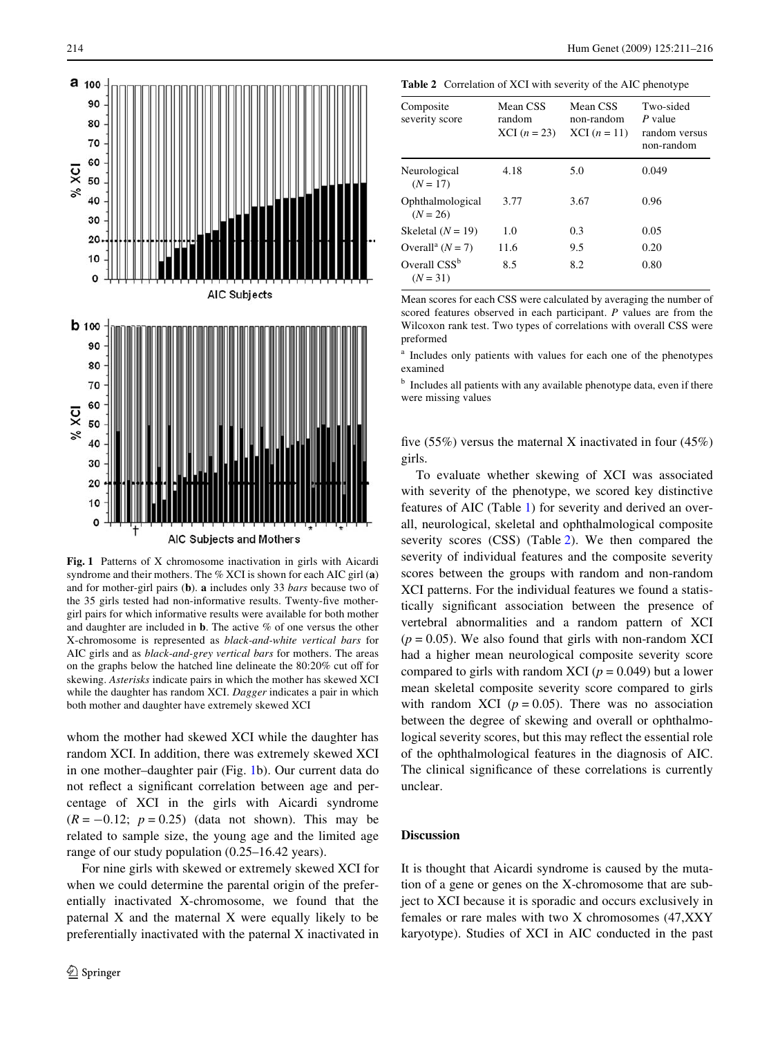

<span id="page-3-0"></span>**Fig. 1** Patterns of X chromosome inactivation in girls with Aicardi syndrome and their mothers. The % XCI is shown for each AIC girl (**a**) and for mother-girl pairs (**b**). **a** includes only 33 *bars* because two of the 35 girls tested had non-informative results. Twenty-five mothergirl pairs for which informative results were available for both mother and daughter are included in **b**. The active % of one versus the other X-chromosome is represented as *black-and-white vertical bars* for AIC girls and as *black-and-grey vertical bars* for mothers. The areas on the graphs below the hatched line delineate the  $80:20\%$  cut off for skewing. *Asterisks* indicate pairs in which the mother has skewed XCI while the daughter has random XCI. *Dagger* indicates a pair in which both mother and daughter have extremely skewed XCI

whom the mother had skewed XCI while the daughter has random XCI. In addition, there was extremely skewed XCI in one mother–daughter pair (Fig. [1b](#page-3-0)). Our current data do not reflect a significant correlation between age and percentage of XCI in the girls with Aicardi syndrome  $(R = -0.12; p = 0.25)$  (data not shown). This may be related to sample size, the young age and the limited age range of our study population (0.25–16.42 years).

For nine girls with skewed or extremely skewed XCI for when we could determine the parental origin of the preferentially inactivated X-chromosome, we found that the paternal X and the maternal X were equally likely to be preferentially inactivated with the paternal X inactivated in

<span id="page-3-1"></span>

| Composite<br>severity score            | Mean CSS<br>random<br>$XCI (n = 23)$ | Mean CSS<br>non-random<br>$XCI (n = 11)$ | Two-sided<br>P value<br>random versus<br>non-random |
|----------------------------------------|--------------------------------------|------------------------------------------|-----------------------------------------------------|
| Neurological<br>$(N = 17)$             | 4.18                                 | 5.0                                      | 0.049                                               |
| Ophthalmological<br>$(N = 26)$         | 3.77                                 | 3.67                                     | 0.96                                                |
| Skeletal $(N = 19)$                    | 1.0                                  | 0.3                                      | 0.05                                                |
| Overall <sup>a</sup> $(N = 7)$         | 11.6                                 | 9.5                                      | 0.20                                                |
| Overall CSS <sup>b</sup><br>$(N = 31)$ | 8.5                                  | 8.2                                      | 0.80                                                |
|                                        |                                      |                                          |                                                     |

Mean scores for each CSS were calculated by averaging the number of scored features observed in each participant. *P* values are from the Wilcoxon rank test. Two types of correlations with overall CSS were preformed

<sup>a</sup> Includes only patients with values for each one of the phenotypes examined

<sup>b</sup> Includes all patients with any available phenotype data, even if there were missing values

five (55%) versus the maternal X inactivated in four (45%) girls.

To evaluate whether skewing of XCI was associated with severity of the phenotype, we scored key distinctive features of AIC (Table [1](#page-2-0)) for severity and derived an overall, neurological, skeletal and ophthalmological composite severity scores (CSS) (Table [2\)](#page-3-1). We then compared the severity of individual features and the composite severity scores between the groups with random and non-random XCI patterns. For the individual features we found a statistically significant association between the presence of vertebral abnormalities and a random pattern of XCI  $(p = 0.05)$ . We also found that girls with non-random XCI had a higher mean neurological composite severity score compared to girls with random XCI  $(p = 0.049)$  but a lower mean skeletal composite severity score compared to girls with random XCI  $(p = 0.05)$ . There was no association between the degree of skewing and overall or ophthalmological severity scores, but this may reflect the essential role of the ophthalmological features in the diagnosis of AIC. The clinical significance of these correlations is currently unclear.

## **Discussion**

It is thought that Aicardi syndrome is caused by the mutation of a gene or genes on the X-chromosome that are subject to XCI because it is sporadic and occurs exclusively in females or rare males with two X chromosomes (47,XXY karyotype). Studies of XCI in AIC conducted in the past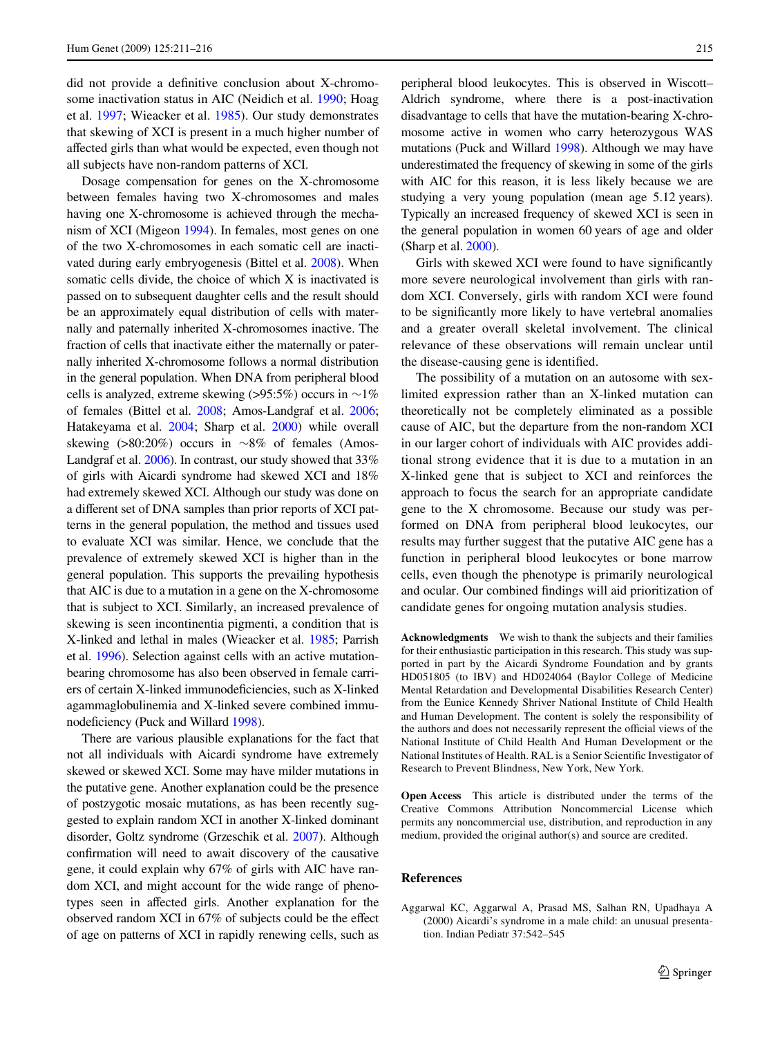did not provide a definitive conclusion about X-chromosome inactivation status in AIC (Neidich et al. [1990;](#page-5-23) Hoag et al. [1997;](#page-5-21) Wieacker et al. [1985\)](#page-5-22). Our study demonstrates that skewing of XCI is present in a much higher number of affected girls than what would be expected, even though not all subjects have non-random patterns of XCI.

Dosage compensation for genes on the X-chromosome between females having two X-chromosomes and males having one X-chromosome is achieved through the mechanism of XCI (Migeon [1994\)](#page-5-28). In females, most genes on one of the two X-chromosomes in each somatic cell are inactivated during early embryogenesis (Bittel et al. [2008\)](#page-5-29). When somatic cells divide, the choice of which X is inactivated is passed on to subsequent daughter cells and the result should be an approximately equal distribution of cells with maternally and paternally inherited X-chromosomes inactive. The fraction of cells that inactivate either the maternally or paternally inherited X-chromosome follows a normal distribution in the general population. When DNA from peripheral blood cells is analyzed, extreme skewing  $(>95:5\%)$  occurs in  $\sim$ 1% of females (Bittel et al. [2008](#page-5-29); Amos-Landgraf et al. [2006](#page-5-27); Hatakeyama et al. [2004](#page-5-30); Sharp et al. [2000](#page-5-31)) while overall skewing  $(>80:20%)$  occurs in  $\sim 8\%$  of females (Amos-Landgraf et al. [2006\)](#page-5-27). In contrast, our study showed that 33% of girls with Aicardi syndrome had skewed XCI and 18% had extremely skewed XCI. Although our study was done on a different set of DNA samples than prior reports of XCI patterns in the general population, the method and tissues used to evaluate XCI was similar. Hence, we conclude that the prevalence of extremely skewed XCI is higher than in the general population. This supports the prevailing hypothesis that AIC is due to a mutation in a gene on the X-chromosome that is subject to XCI. Similarly, an increased prevalence of skewing is seen incontinentia pigmenti, a condition that is X-linked and lethal in males (Wieacker et al. [1985](#page-5-22); Parrish et al. [1996\)](#page-5-32). Selection against cells with an active mutationbearing chromosome has also been observed in female carriers of certain X-linked immunodeficiencies, such as X-linked agammaglobulinemia and X-linked severe combined immu-nodeficiency (Puck and Willard [1998](#page-5-33)).

There are various plausible explanations for the fact that not all individuals with Aicardi syndrome have extremely skewed or skewed XCI. Some may have milder mutations in the putative gene. Another explanation could be the presence of postzygotic mosaic mutations, as has been recently suggested to explain random XCI in another X-linked dominant disorder, Goltz syndrome (Grzeschik et al. [2007](#page-5-34)). Although confirmation will need to await discovery of the causative gene, it could explain why 67% of girls with AIC have random XCI, and might account for the wide range of phenotypes seen in affected girls. Another explanation for the observed random XCI in  $67\%$  of subjects could be the effect of age on patterns of XCI in rapidly renewing cells, such as peripheral blood leukocytes. This is observed in Wiscott– Aldrich syndrome, where there is a post-inactivation disadvantage to cells that have the mutation-bearing X-chromosome active in women who carry heterozygous WAS mutations (Puck and Willard [1998\)](#page-5-33). Although we may have underestimated the frequency of skewing in some of the girls with AIC for this reason, it is less likely because we are studying a very young population (mean age 5.12 years). Typically an increased frequency of skewed XCI is seen in the general population in women 60 years of age and older (Sharp et al. [2000](#page-5-31)).

Girls with skewed XCI were found to have significantly more severe neurological involvement than girls with random XCI. Conversely, girls with random XCI were found to be significantly more likely to have vertebral anomalies and a greater overall skeletal involvement. The clinical relevance of these observations will remain unclear until the disease-causing gene is identified.

The possibility of a mutation on an autosome with sexlimited expression rather than an X-linked mutation can theoretically not be completely eliminated as a possible cause of AIC, but the departure from the non-random XCI in our larger cohort of individuals with AIC provides additional strong evidence that it is due to a mutation in an X-linked gene that is subject to XCI and reinforces the approach to focus the search for an appropriate candidate gene to the X chromosome. Because our study was performed on DNA from peripheral blood leukocytes, our results may further suggest that the putative AIC gene has a function in peripheral blood leukocytes or bone marrow cells, even though the phenotype is primarily neurological and ocular. Our combined findings will aid prioritization of candidate genes for ongoing mutation analysis studies.

**Acknowledgments** We wish to thank the subjects and their families for their enthusiastic participation in this research. This study was supported in part by the Aicardi Syndrome Foundation and by grants HD051805 (to IBV) and HD024064 (Baylor College of Medicine Mental Retardation and Developmental Disabilities Research Center) from the Eunice Kennedy Shriver National Institute of Child Health and Human Development. The content is solely the responsibility of the authors and does not necessarily represent the official views of the National Institute of Child Health And Human Development or the National Institutes of Health. RAL is a Senior Scientific Investigator of Research to Prevent Blindness, New York, New York.

**Open Access** This article is distributed under the terms of the Creative Commons Attribution Noncommercial License which permits any noncommercial use, distribution, and reproduction in any medium, provided the original author(s) and source are credited.

# **References**

<span id="page-4-0"></span>Aggarwal KC, Aggarwal A, Prasad MS, Salhan RN, Upadhaya A (2000) Aicardi's syndrome in a male child: an unusual presentation. Indian Pediatr 37:542–545